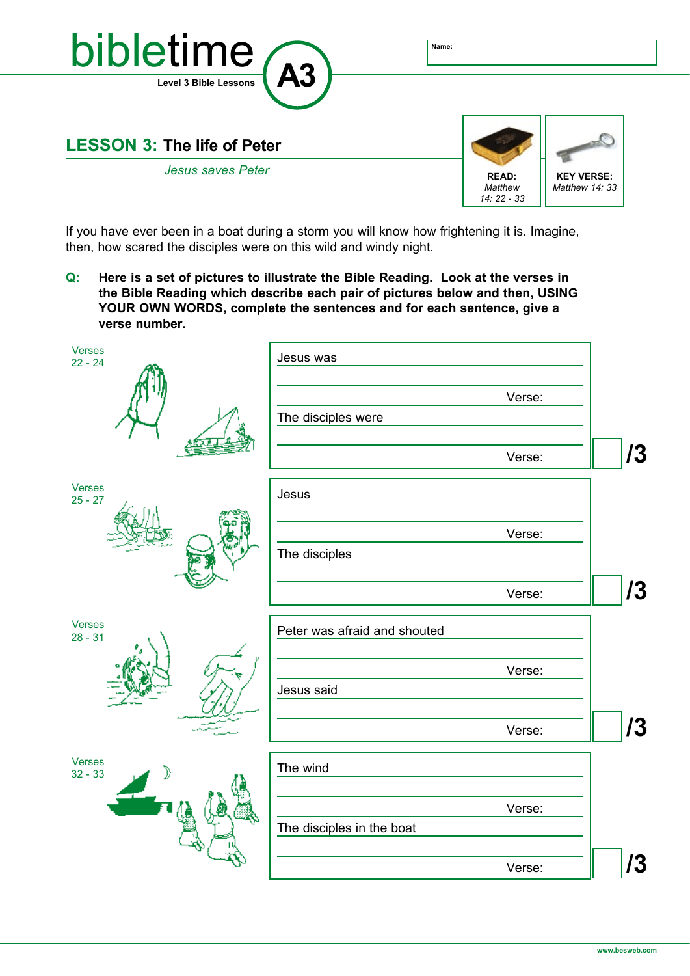

If you have ever been in a boat during a storm you will know how frightening it is. Imagine, then, how scared the disciples were on this wild and windy night.

**Q: Here is a set of pictures to illustrate the Bible Reading. Look at the verses in the Bible Reading which describe each pair of pictures below and then, USING YOUR OWN WORDS, complete the sentences and for each sentence, give a verse number.**

| Verses<br>$22 - 24$        | Jesus was                           |    |
|----------------------------|-------------------------------------|----|
|                            | Verse:<br>The disciples were        |    |
|                            | Verse:                              | 13 |
| Verses<br>$25 - 27$        | Jesus                               |    |
|                            | Verse:<br>The disciples             |    |
|                            | Verse:                              | 13 |
| <b>Verses</b><br>$28 - 31$ | Peter was afraid and shouted        |    |
|                            | Verse:<br>Jesus said                |    |
|                            | Verse:                              | 13 |
| Verses<br>》<br>$32 - 33$   | The wind                            |    |
|                            | Verse:<br>The disciples in the boat |    |
|                            | Verse:                              | 13 |